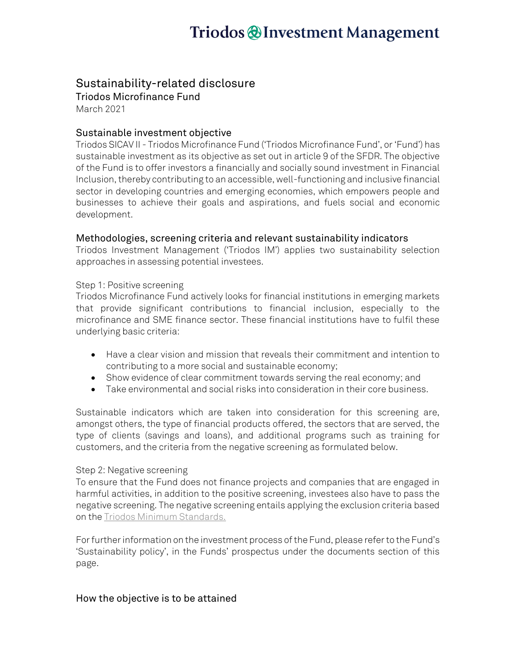# Triodos @Investment Management

# Sustainability-related disclosure

Triodos Microfinance Fund

March 2021

## Sustainable investment objective

Triodos SICAV II - Triodos Microfinance Fund ('Triodos Microfinance Fund', or 'Fund') has sustainable investment as its objective as set out in article 9 of the SFDR. The objective of the Fund is to offer investors a financially and socially sound investment in Financial Inclusion, thereby contributing to an accessible, well-functioning and inclusive financial sector in developing countries and emerging economies, which empowers people and businesses to achieve their goals and aspirations, and fuels social and economic development.

### Methodologies, screening criteria and relevant sustainability indicators

Triodos Investment Management ('Triodos IM') applies two sustainability selection approaches in assessing potential investees.

#### Step 1: Positive screening

Triodos Microfinance Fund actively looks for financial institutions in emerging markets that provide significant contributions to financial inclusion, especially to the microfinance and SME finance sector. These financial institutions have to fulfil these underlying basic criteria:

- Have a clear vision and mission that reveals their commitment and intention to contributing to a more social and sustainable economy;
- Show evidence of clear commitment towards serving the real economy; and
- Take environmental and social risks into consideration in their core business.

Sustainable indicators which are taken into consideration for this screening are, amongst others, the type of financial products offered, the sectors that are served, the type of clients (savings and loans), and additional programs such as training for customers, and the criteria from the negative screening as formulated below.

#### Step 2: Negative screening

To ensure that the Fund does not finance projects and companies that are engaged in harmful activities, in addition to the positive screening, investees also have to pass the negative screening. The negative screening entails applying the exclusion criteria based on th[e Triodos Minimum Standards.](https://www.triodos-im.com/binaries/content/assets/tim/tim/minimum-standards-and-exclusions.pdf)

For further information on the investment process of the Fund, please refer to the Fund's 'Sustainability policy', in the Funds' prospectus under the documents section of this page.

### How the objective is to be attained